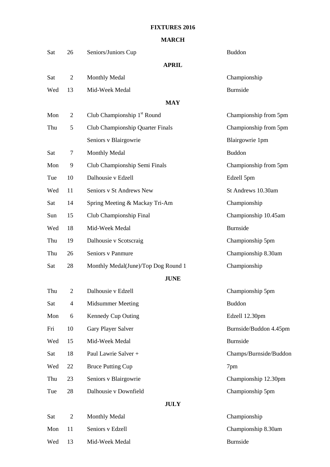## **FIXTURES 2016**

## **MARCH**

| Sat | 26             | Seniors/Juniors Cup                     | <b>Buddon</b>          |
|-----|----------------|-----------------------------------------|------------------------|
|     |                | <b>APRIL</b>                            |                        |
| Sat | 2              | <b>Monthly Medal</b>                    | Championship           |
| Wed | 13             | Mid-Week Medal                          | <b>Burnside</b>        |
|     |                | <b>MAY</b>                              |                        |
| Mon | $\overline{2}$ | Club Championship 1 <sup>st</sup> Round | Championship from 5pm  |
| Thu | 5              | Club Championship Quarter Finals        | Championship from 5pm  |
|     |                | Seniors v Blairgowrie                   | Blairgowrie 1pm        |
| Sat | 7              | <b>Monthly Medal</b>                    | <b>Buddon</b>          |
| Mon | 9              | Club Championship Semi Finals           | Championship from 5pm  |
| Tue | 10             | Dalhousie v Edzell                      | Edzell 5pm             |
| Wed | 11             | Seniors v St Andrews New                | St Andrews 10.30am     |
| Sat | 14             | Spring Meeting & Mackay Tri-Am          | Championship           |
| Sun | 15             | Club Championship Final                 | Championship 10.45am   |
| Wed | 18             | Mid-Week Medal                          | <b>Burnside</b>        |
| Thu | 19             | Dalhousie v Scotscraig                  | Championship 5pm       |
| Thu | 26             | Seniors v Panmure                       | Championship 8.30am    |
| Sat | 28             | Monthly Medal(June)/Top Dog Round 1     | Championship           |
|     |                | <b>JUNE</b>                             |                        |
| Thu | $\overline{2}$ | Dalhousie v Edzell                      | Championship 5pm       |
| Sat | 4              | Midsummer Meeting                       | <b>Buddon</b>          |
| Mon | 6              | Kennedy Cup Outing                      | Edzell 12.30pm         |
| Fri | 10             | Gary Player Salver                      | Burnside/Buddon 4.45pm |
| Wed | 15             | Mid-Week Medal                          | Burnside               |
| Sat | 18             | Paul Lawrie Salver +                    | Champs/Burnside/Buddon |
| Wed | 22             | <b>Bruce Putting Cup</b>                | 7pm                    |
| Thu | 23             | Seniors v Blairgowrie                   | Championship 12.30pm   |
| Tue | 28             | Dalhousie v Downfield                   | Championship 5pm       |
|     |                | <b>JULY</b>                             |                        |
| Sat | $\overline{c}$ | <b>Monthly Medal</b>                    | Championship           |
| Mon | 11             | Seniors v Edzell                        | Championship 8.30am    |

Wed 13 Mid-Week Medal Burnside